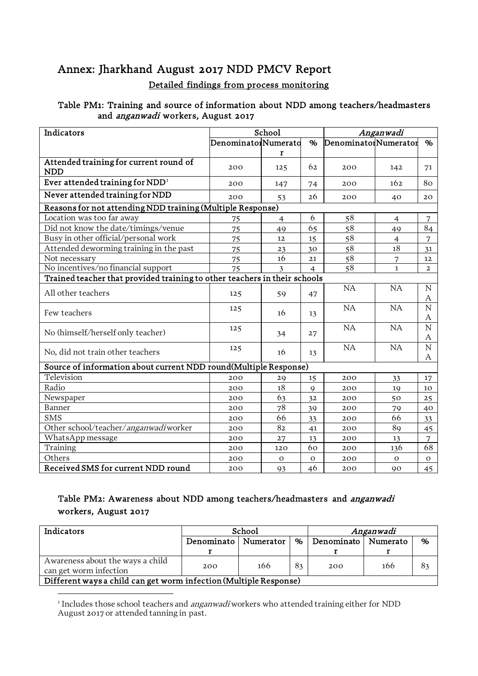# Annex: Jharkhand August 2017 NDD PMCV Report Detailed findings from process monitoring

#### Table PM1: Training and source of information about NDD among teachers/headmasters and *anganwadi* workers, August 2017

| Indicators                                                                |                     | School         |                | Anganwadi            |                |                     |  |
|---------------------------------------------------------------------------|---------------------|----------------|----------------|----------------------|----------------|---------------------|--|
|                                                                           | DenominatorNumerato |                | $\%$           | DenominatorNumerator |                | $\%$                |  |
|                                                                           |                     | r              |                |                      |                |                     |  |
| Attended training for current round of<br><b>NDD</b>                      | 200                 | 125            | 62             | 200                  | 142            | 71                  |  |
| Ever attended training for $NDD1$                                         | 200                 | 147            | 74             | 200                  | 162            | 80                  |  |
| Never attended training for NDD                                           | 200                 | 53             | 26             | 200                  | 40             | 20                  |  |
| Reasons for not attending NDD training (Multiple Response)                |                     |                |                |                      |                |                     |  |
| Location was too far away                                                 | 75                  | $\overline{4}$ | 6              | 58                   | $\overline{4}$ | 7                   |  |
| Did not know the date/timings/venue                                       | 75                  | 49             | 65             | 58                   | 49             | 84                  |  |
| Busy in other official/personal work                                      | 75                  | 12             | 15             | 58                   | $\overline{4}$ | $\overline{7}$      |  |
| Attended deworming training in the past                                   | 75                  | 23             | 30             | 58                   | 18             | 31                  |  |
| Not necessary                                                             | 75                  | 16             | 21             | 58                   | 7              | $12 \overline{ }$   |  |
| No incentives/no financial support                                        | 75                  | 3              | $\overline{4}$ | 58                   | $\mathbf{1}$   | $\overline{2}$      |  |
| Trained teacher that provided training to other teachers in their schools |                     |                |                |                      |                |                     |  |
| All other teachers                                                        | 125                 | 59             | 47             | NA                   | NA             | $\mathbf N$<br>A    |  |
| Few teachers                                                              | 125                 | 16             | 13             | <b>NA</b>            | NA             | N<br>A              |  |
| No (himself/herself only teacher)                                         | 125                 | 34             | 27             | NA                   | NA             | $\overline{N}$<br>A |  |
| No, did not train other teachers                                          | 125                 | 16             | 13             | NA                   | NA             | $\mathbf N$<br>A    |  |
| Source of information about current NDD round(Multiple Response)          |                     |                |                |                      |                |                     |  |
| Television                                                                | 200                 | 29             | 15             | 200                  | 33             | 17                  |  |
| Radio                                                                     | 200                 | 18             | $\mathbf{Q}$   | 200                  | 19             | 10                  |  |
| Newspaper                                                                 | 200                 | 63             | 32             | 200                  | 50             | 25                  |  |
| Banner                                                                    | 200                 | 78             | 39             | 200                  | 79             | 40                  |  |
| <b>SMS</b>                                                                | 200                 | 66             | 33             | 200                  | 66             | 33                  |  |
| Other school/teacher/anganwadiworker                                      | 200                 | 82             | 41             | 200                  | 89             | 45                  |  |
| WhatsApp message                                                          | 200                 | 27             | 13             | 200                  | 13             | 7                   |  |
| Training                                                                  | 200                 | 120            | 60             | 200                  | 136            | 68                  |  |
| Others                                                                    | 200                 | $\mathbf O$    | $\mathbf{O}$   | 200                  | $\mathbf{o}$   | $\mathbf{O}$        |  |
| Received SMS for current NDD round                                        | 200                 | 93             | 46             | 200                  | 90             | 45                  |  |

## Table PM2: Awareness about NDD among teachers/headmasters and anganwadi workers, August 2017

| Indicators                                                                                               | School                 |  |   | Anganwadi             |  |      |  |
|----------------------------------------------------------------------------------------------------------|------------------------|--|---|-----------------------|--|------|--|
|                                                                                                          | Denominato   Numerator |  | % | Denominato   Numerato |  | $\%$ |  |
|                                                                                                          |                        |  |   |                       |  |      |  |
| Awareness about the ways a child<br>8 <sub>3</sub><br>166<br>166<br>200<br>200<br>can get worm infection |                        |  |   |                       |  | 82   |  |
| Different ways a child can get worm infection (Multiple Response)                                        |                        |  |   |                       |  |      |  |

<span id="page-0-0"></span><sup>1</sup> Includes those school teachers and *anganwadi* workers who attended training either for NDD August 2017 or attended tanning in past.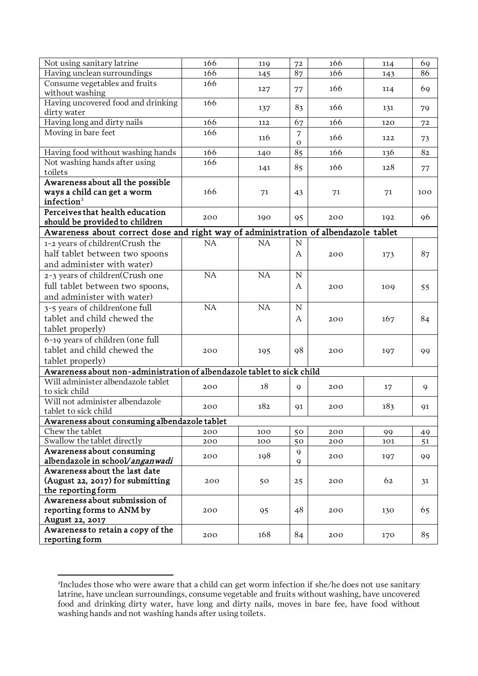| Not using sanitary latrine<br>166<br>166<br>72<br>69<br>119<br>114<br>Having unclean surroundings<br>166<br>166<br>87<br>86<br>145<br>143<br>Consume vegetables and fruits<br>166<br>166<br>69<br>127<br>77<br>114<br>without washing<br>Having uncovered food and drinking<br>166<br>166<br>83<br>79<br>137<br>131<br>dirty water<br>Having long and dirty nails<br>166<br>166<br>67<br>112<br>120<br>72<br>Moving in bare feet<br>166<br>7<br>166<br>116<br>122<br>73<br>$\mathbf{O}$<br>Having food without washing hands<br>166<br>166<br>85<br>82<br>136<br>140<br>Not washing hands after using<br>166<br>85<br>166<br>128<br>141<br>77<br>toilets<br>Awareness about all the possible<br>ways a child can get a worm<br>166<br>71<br>71<br>71<br>100<br>43<br>infection <sup>2</sup><br>Perceives that health education<br>96<br>200<br>190<br>95<br>200<br>192<br>should be provided to children<br>Awareness about correct dose and right way of administration of albendazole tablet<br>NA<br>NA<br>$\mathbf N$<br>1-2 years of children(Crush the<br>half tablet between two spoons<br>A<br>87<br>200<br>173<br>and administer with water)<br>NA<br>NA<br>${\rm N}$<br>2-3 years of children(Crush one<br>full tablet between two spoons,<br>A<br>200<br>109<br>55<br>and administer with water)<br>NA<br>NA<br>3-5 years of children(one full<br>${\rm N}$<br>tablet and child chewed the<br>167<br>84<br>Α<br>200<br>tablet properly)<br>6-19 years of children (one full<br>tablet and child chewed the<br>98<br>200<br>200<br>195<br>197<br>99<br>tablet properly)<br>Awareness about non-administration of albendazole tablet to sick child<br>Will administer albendazole tablet<br>18<br>200<br>$\mathbf Q$<br>200<br>17<br>9<br>to sick child<br>Will not administer albendazole<br>182<br>183<br>200<br>91<br>200<br>91<br>tablet to sick child<br>Awareness about consuming albendazole tablet<br>Chew the tablet<br>200<br>100<br>50<br>200<br>99<br>49<br>Swallow the tablet directly<br>200<br>100<br>50<br>200<br>101<br>51<br>Awareness about consuming<br>9<br>198<br>200<br>200<br>197<br>99<br>albendazole in school/anganwadi<br>9<br>Awareness about the last date<br>(August 22, 2017) for submitting<br>62<br>200<br>50<br>25<br>200<br>31<br>the reporting form<br>Awareness about submission of<br>reporting forms to ANM by<br>65<br>48<br>200<br>200<br>130<br>95<br>August 22, 2017<br>Awareness to retain a copy of the<br>168<br>84<br>85<br>200<br>200<br>170<br>reporting form |  |  |  |  |
|--------------------------------------------------------------------------------------------------------------------------------------------------------------------------------------------------------------------------------------------------------------------------------------------------------------------------------------------------------------------------------------------------------------------------------------------------------------------------------------------------------------------------------------------------------------------------------------------------------------------------------------------------------------------------------------------------------------------------------------------------------------------------------------------------------------------------------------------------------------------------------------------------------------------------------------------------------------------------------------------------------------------------------------------------------------------------------------------------------------------------------------------------------------------------------------------------------------------------------------------------------------------------------------------------------------------------------------------------------------------------------------------------------------------------------------------------------------------------------------------------------------------------------------------------------------------------------------------------------------------------------------------------------------------------------------------------------------------------------------------------------------------------------------------------------------------------------------------------------------------------------------------------------------------------------------------------------------------------------------------------------------------------------------------------------------------------------------------------------------------------------------------------------------------------------------------------------------------------------------------------------------------------------------------------------------------------------------------------------------------------------------------------------------------------------------------------------------------------------------------------------------------------|--|--|--|--|
|                                                                                                                                                                                                                                                                                                                                                                                                                                                                                                                                                                                                                                                                                                                                                                                                                                                                                                                                                                                                                                                                                                                                                                                                                                                                                                                                                                                                                                                                                                                                                                                                                                                                                                                                                                                                                                                                                                                                                                                                                                                                                                                                                                                                                                                                                                                                                                                                                                                                                                                          |  |  |  |  |
|                                                                                                                                                                                                                                                                                                                                                                                                                                                                                                                                                                                                                                                                                                                                                                                                                                                                                                                                                                                                                                                                                                                                                                                                                                                                                                                                                                                                                                                                                                                                                                                                                                                                                                                                                                                                                                                                                                                                                                                                                                                                                                                                                                                                                                                                                                                                                                                                                                                                                                                          |  |  |  |  |
|                                                                                                                                                                                                                                                                                                                                                                                                                                                                                                                                                                                                                                                                                                                                                                                                                                                                                                                                                                                                                                                                                                                                                                                                                                                                                                                                                                                                                                                                                                                                                                                                                                                                                                                                                                                                                                                                                                                                                                                                                                                                                                                                                                                                                                                                                                                                                                                                                                                                                                                          |  |  |  |  |
|                                                                                                                                                                                                                                                                                                                                                                                                                                                                                                                                                                                                                                                                                                                                                                                                                                                                                                                                                                                                                                                                                                                                                                                                                                                                                                                                                                                                                                                                                                                                                                                                                                                                                                                                                                                                                                                                                                                                                                                                                                                                                                                                                                                                                                                                                                                                                                                                                                                                                                                          |  |  |  |  |
|                                                                                                                                                                                                                                                                                                                                                                                                                                                                                                                                                                                                                                                                                                                                                                                                                                                                                                                                                                                                                                                                                                                                                                                                                                                                                                                                                                                                                                                                                                                                                                                                                                                                                                                                                                                                                                                                                                                                                                                                                                                                                                                                                                                                                                                                                                                                                                                                                                                                                                                          |  |  |  |  |
|                                                                                                                                                                                                                                                                                                                                                                                                                                                                                                                                                                                                                                                                                                                                                                                                                                                                                                                                                                                                                                                                                                                                                                                                                                                                                                                                                                                                                                                                                                                                                                                                                                                                                                                                                                                                                                                                                                                                                                                                                                                                                                                                                                                                                                                                                                                                                                                                                                                                                                                          |  |  |  |  |
|                                                                                                                                                                                                                                                                                                                                                                                                                                                                                                                                                                                                                                                                                                                                                                                                                                                                                                                                                                                                                                                                                                                                                                                                                                                                                                                                                                                                                                                                                                                                                                                                                                                                                                                                                                                                                                                                                                                                                                                                                                                                                                                                                                                                                                                                                                                                                                                                                                                                                                                          |  |  |  |  |
|                                                                                                                                                                                                                                                                                                                                                                                                                                                                                                                                                                                                                                                                                                                                                                                                                                                                                                                                                                                                                                                                                                                                                                                                                                                                                                                                                                                                                                                                                                                                                                                                                                                                                                                                                                                                                                                                                                                                                                                                                                                                                                                                                                                                                                                                                                                                                                                                                                                                                                                          |  |  |  |  |
|                                                                                                                                                                                                                                                                                                                                                                                                                                                                                                                                                                                                                                                                                                                                                                                                                                                                                                                                                                                                                                                                                                                                                                                                                                                                                                                                                                                                                                                                                                                                                                                                                                                                                                                                                                                                                                                                                                                                                                                                                                                                                                                                                                                                                                                                                                                                                                                                                                                                                                                          |  |  |  |  |
|                                                                                                                                                                                                                                                                                                                                                                                                                                                                                                                                                                                                                                                                                                                                                                                                                                                                                                                                                                                                                                                                                                                                                                                                                                                                                                                                                                                                                                                                                                                                                                                                                                                                                                                                                                                                                                                                                                                                                                                                                                                                                                                                                                                                                                                                                                                                                                                                                                                                                                                          |  |  |  |  |
|                                                                                                                                                                                                                                                                                                                                                                                                                                                                                                                                                                                                                                                                                                                                                                                                                                                                                                                                                                                                                                                                                                                                                                                                                                                                                                                                                                                                                                                                                                                                                                                                                                                                                                                                                                                                                                                                                                                                                                                                                                                                                                                                                                                                                                                                                                                                                                                                                                                                                                                          |  |  |  |  |
|                                                                                                                                                                                                                                                                                                                                                                                                                                                                                                                                                                                                                                                                                                                                                                                                                                                                                                                                                                                                                                                                                                                                                                                                                                                                                                                                                                                                                                                                                                                                                                                                                                                                                                                                                                                                                                                                                                                                                                                                                                                                                                                                                                                                                                                                                                                                                                                                                                                                                                                          |  |  |  |  |
|                                                                                                                                                                                                                                                                                                                                                                                                                                                                                                                                                                                                                                                                                                                                                                                                                                                                                                                                                                                                                                                                                                                                                                                                                                                                                                                                                                                                                                                                                                                                                                                                                                                                                                                                                                                                                                                                                                                                                                                                                                                                                                                                                                                                                                                                                                                                                                                                                                                                                                                          |  |  |  |  |
|                                                                                                                                                                                                                                                                                                                                                                                                                                                                                                                                                                                                                                                                                                                                                                                                                                                                                                                                                                                                                                                                                                                                                                                                                                                                                                                                                                                                                                                                                                                                                                                                                                                                                                                                                                                                                                                                                                                                                                                                                                                                                                                                                                                                                                                                                                                                                                                                                                                                                                                          |  |  |  |  |
|                                                                                                                                                                                                                                                                                                                                                                                                                                                                                                                                                                                                                                                                                                                                                                                                                                                                                                                                                                                                                                                                                                                                                                                                                                                                                                                                                                                                                                                                                                                                                                                                                                                                                                                                                                                                                                                                                                                                                                                                                                                                                                                                                                                                                                                                                                                                                                                                                                                                                                                          |  |  |  |  |
|                                                                                                                                                                                                                                                                                                                                                                                                                                                                                                                                                                                                                                                                                                                                                                                                                                                                                                                                                                                                                                                                                                                                                                                                                                                                                                                                                                                                                                                                                                                                                                                                                                                                                                                                                                                                                                                                                                                                                                                                                                                                                                                                                                                                                                                                                                                                                                                                                                                                                                                          |  |  |  |  |
|                                                                                                                                                                                                                                                                                                                                                                                                                                                                                                                                                                                                                                                                                                                                                                                                                                                                                                                                                                                                                                                                                                                                                                                                                                                                                                                                                                                                                                                                                                                                                                                                                                                                                                                                                                                                                                                                                                                                                                                                                                                                                                                                                                                                                                                                                                                                                                                                                                                                                                                          |  |  |  |  |
|                                                                                                                                                                                                                                                                                                                                                                                                                                                                                                                                                                                                                                                                                                                                                                                                                                                                                                                                                                                                                                                                                                                                                                                                                                                                                                                                                                                                                                                                                                                                                                                                                                                                                                                                                                                                                                                                                                                                                                                                                                                                                                                                                                                                                                                                                                                                                                                                                                                                                                                          |  |  |  |  |
|                                                                                                                                                                                                                                                                                                                                                                                                                                                                                                                                                                                                                                                                                                                                                                                                                                                                                                                                                                                                                                                                                                                                                                                                                                                                                                                                                                                                                                                                                                                                                                                                                                                                                                                                                                                                                                                                                                                                                                                                                                                                                                                                                                                                                                                                                                                                                                                                                                                                                                                          |  |  |  |  |
|                                                                                                                                                                                                                                                                                                                                                                                                                                                                                                                                                                                                                                                                                                                                                                                                                                                                                                                                                                                                                                                                                                                                                                                                                                                                                                                                                                                                                                                                                                                                                                                                                                                                                                                                                                                                                                                                                                                                                                                                                                                                                                                                                                                                                                                                                                                                                                                                                                                                                                                          |  |  |  |  |
|                                                                                                                                                                                                                                                                                                                                                                                                                                                                                                                                                                                                                                                                                                                                                                                                                                                                                                                                                                                                                                                                                                                                                                                                                                                                                                                                                                                                                                                                                                                                                                                                                                                                                                                                                                                                                                                                                                                                                                                                                                                                                                                                                                                                                                                                                                                                                                                                                                                                                                                          |  |  |  |  |
|                                                                                                                                                                                                                                                                                                                                                                                                                                                                                                                                                                                                                                                                                                                                                                                                                                                                                                                                                                                                                                                                                                                                                                                                                                                                                                                                                                                                                                                                                                                                                                                                                                                                                                                                                                                                                                                                                                                                                                                                                                                                                                                                                                                                                                                                                                                                                                                                                                                                                                                          |  |  |  |  |
|                                                                                                                                                                                                                                                                                                                                                                                                                                                                                                                                                                                                                                                                                                                                                                                                                                                                                                                                                                                                                                                                                                                                                                                                                                                                                                                                                                                                                                                                                                                                                                                                                                                                                                                                                                                                                                                                                                                                                                                                                                                                                                                                                                                                                                                                                                                                                                                                                                                                                                                          |  |  |  |  |
|                                                                                                                                                                                                                                                                                                                                                                                                                                                                                                                                                                                                                                                                                                                                                                                                                                                                                                                                                                                                                                                                                                                                                                                                                                                                                                                                                                                                                                                                                                                                                                                                                                                                                                                                                                                                                                                                                                                                                                                                                                                                                                                                                                                                                                                                                                                                                                                                                                                                                                                          |  |  |  |  |
|                                                                                                                                                                                                                                                                                                                                                                                                                                                                                                                                                                                                                                                                                                                                                                                                                                                                                                                                                                                                                                                                                                                                                                                                                                                                                                                                                                                                                                                                                                                                                                                                                                                                                                                                                                                                                                                                                                                                                                                                                                                                                                                                                                                                                                                                                                                                                                                                                                                                                                                          |  |  |  |  |
|                                                                                                                                                                                                                                                                                                                                                                                                                                                                                                                                                                                                                                                                                                                                                                                                                                                                                                                                                                                                                                                                                                                                                                                                                                                                                                                                                                                                                                                                                                                                                                                                                                                                                                                                                                                                                                                                                                                                                                                                                                                                                                                                                                                                                                                                                                                                                                                                                                                                                                                          |  |  |  |  |
|                                                                                                                                                                                                                                                                                                                                                                                                                                                                                                                                                                                                                                                                                                                                                                                                                                                                                                                                                                                                                                                                                                                                                                                                                                                                                                                                                                                                                                                                                                                                                                                                                                                                                                                                                                                                                                                                                                                                                                                                                                                                                                                                                                                                                                                                                                                                                                                                                                                                                                                          |  |  |  |  |
|                                                                                                                                                                                                                                                                                                                                                                                                                                                                                                                                                                                                                                                                                                                                                                                                                                                                                                                                                                                                                                                                                                                                                                                                                                                                                                                                                                                                                                                                                                                                                                                                                                                                                                                                                                                                                                                                                                                                                                                                                                                                                                                                                                                                                                                                                                                                                                                                                                                                                                                          |  |  |  |  |
|                                                                                                                                                                                                                                                                                                                                                                                                                                                                                                                                                                                                                                                                                                                                                                                                                                                                                                                                                                                                                                                                                                                                                                                                                                                                                                                                                                                                                                                                                                                                                                                                                                                                                                                                                                                                                                                                                                                                                                                                                                                                                                                                                                                                                                                                                                                                                                                                                                                                                                                          |  |  |  |  |
|                                                                                                                                                                                                                                                                                                                                                                                                                                                                                                                                                                                                                                                                                                                                                                                                                                                                                                                                                                                                                                                                                                                                                                                                                                                                                                                                                                                                                                                                                                                                                                                                                                                                                                                                                                                                                                                                                                                                                                                                                                                                                                                                                                                                                                                                                                                                                                                                                                                                                                                          |  |  |  |  |
|                                                                                                                                                                                                                                                                                                                                                                                                                                                                                                                                                                                                                                                                                                                                                                                                                                                                                                                                                                                                                                                                                                                                                                                                                                                                                                                                                                                                                                                                                                                                                                                                                                                                                                                                                                                                                                                                                                                                                                                                                                                                                                                                                                                                                                                                                                                                                                                                                                                                                                                          |  |  |  |  |
|                                                                                                                                                                                                                                                                                                                                                                                                                                                                                                                                                                                                                                                                                                                                                                                                                                                                                                                                                                                                                                                                                                                                                                                                                                                                                                                                                                                                                                                                                                                                                                                                                                                                                                                                                                                                                                                                                                                                                                                                                                                                                                                                                                                                                                                                                                                                                                                                                                                                                                                          |  |  |  |  |
|                                                                                                                                                                                                                                                                                                                                                                                                                                                                                                                                                                                                                                                                                                                                                                                                                                                                                                                                                                                                                                                                                                                                                                                                                                                                                                                                                                                                                                                                                                                                                                                                                                                                                                                                                                                                                                                                                                                                                                                                                                                                                                                                                                                                                                                                                                                                                                                                                                                                                                                          |  |  |  |  |
|                                                                                                                                                                                                                                                                                                                                                                                                                                                                                                                                                                                                                                                                                                                                                                                                                                                                                                                                                                                                                                                                                                                                                                                                                                                                                                                                                                                                                                                                                                                                                                                                                                                                                                                                                                                                                                                                                                                                                                                                                                                                                                                                                                                                                                                                                                                                                                                                                                                                                                                          |  |  |  |  |
|                                                                                                                                                                                                                                                                                                                                                                                                                                                                                                                                                                                                                                                                                                                                                                                                                                                                                                                                                                                                                                                                                                                                                                                                                                                                                                                                                                                                                                                                                                                                                                                                                                                                                                                                                                                                                                                                                                                                                                                                                                                                                                                                                                                                                                                                                                                                                                                                                                                                                                                          |  |  |  |  |
|                                                                                                                                                                                                                                                                                                                                                                                                                                                                                                                                                                                                                                                                                                                                                                                                                                                                                                                                                                                                                                                                                                                                                                                                                                                                                                                                                                                                                                                                                                                                                                                                                                                                                                                                                                                                                                                                                                                                                                                                                                                                                                                                                                                                                                                                                                                                                                                                                                                                                                                          |  |  |  |  |
|                                                                                                                                                                                                                                                                                                                                                                                                                                                                                                                                                                                                                                                                                                                                                                                                                                                                                                                                                                                                                                                                                                                                                                                                                                                                                                                                                                                                                                                                                                                                                                                                                                                                                                                                                                                                                                                                                                                                                                                                                                                                                                                                                                                                                                                                                                                                                                                                                                                                                                                          |  |  |  |  |
|                                                                                                                                                                                                                                                                                                                                                                                                                                                                                                                                                                                                                                                                                                                                                                                                                                                                                                                                                                                                                                                                                                                                                                                                                                                                                                                                                                                                                                                                                                                                                                                                                                                                                                                                                                                                                                                                                                                                                                                                                                                                                                                                                                                                                                                                                                                                                                                                                                                                                                                          |  |  |  |  |
|                                                                                                                                                                                                                                                                                                                                                                                                                                                                                                                                                                                                                                                                                                                                                                                                                                                                                                                                                                                                                                                                                                                                                                                                                                                                                                                                                                                                                                                                                                                                                                                                                                                                                                                                                                                                                                                                                                                                                                                                                                                                                                                                                                                                                                                                                                                                                                                                                                                                                                                          |  |  |  |  |
|                                                                                                                                                                                                                                                                                                                                                                                                                                                                                                                                                                                                                                                                                                                                                                                                                                                                                                                                                                                                                                                                                                                                                                                                                                                                                                                                                                                                                                                                                                                                                                                                                                                                                                                                                                                                                                                                                                                                                                                                                                                                                                                                                                                                                                                                                                                                                                                                                                                                                                                          |  |  |  |  |
|                                                                                                                                                                                                                                                                                                                                                                                                                                                                                                                                                                                                                                                                                                                                                                                                                                                                                                                                                                                                                                                                                                                                                                                                                                                                                                                                                                                                                                                                                                                                                                                                                                                                                                                                                                                                                                                                                                                                                                                                                                                                                                                                                                                                                                                                                                                                                                                                                                                                                                                          |  |  |  |  |
|                                                                                                                                                                                                                                                                                                                                                                                                                                                                                                                                                                                                                                                                                                                                                                                                                                                                                                                                                                                                                                                                                                                                                                                                                                                                                                                                                                                                                                                                                                                                                                                                                                                                                                                                                                                                                                                                                                                                                                                                                                                                                                                                                                                                                                                                                                                                                                                                                                                                                                                          |  |  |  |  |
|                                                                                                                                                                                                                                                                                                                                                                                                                                                                                                                                                                                                                                                                                                                                                                                                                                                                                                                                                                                                                                                                                                                                                                                                                                                                                                                                                                                                                                                                                                                                                                                                                                                                                                                                                                                                                                                                                                                                                                                                                                                                                                                                                                                                                                                                                                                                                                                                                                                                                                                          |  |  |  |  |
|                                                                                                                                                                                                                                                                                                                                                                                                                                                                                                                                                                                                                                                                                                                                                                                                                                                                                                                                                                                                                                                                                                                                                                                                                                                                                                                                                                                                                                                                                                                                                                                                                                                                                                                                                                                                                                                                                                                                                                                                                                                                                                                                                                                                                                                                                                                                                                                                                                                                                                                          |  |  |  |  |
|                                                                                                                                                                                                                                                                                                                                                                                                                                                                                                                                                                                                                                                                                                                                                                                                                                                                                                                                                                                                                                                                                                                                                                                                                                                                                                                                                                                                                                                                                                                                                                                                                                                                                                                                                                                                                                                                                                                                                                                                                                                                                                                                                                                                                                                                                                                                                                                                                                                                                                                          |  |  |  |  |
|                                                                                                                                                                                                                                                                                                                                                                                                                                                                                                                                                                                                                                                                                                                                                                                                                                                                                                                                                                                                                                                                                                                                                                                                                                                                                                                                                                                                                                                                                                                                                                                                                                                                                                                                                                                                                                                                                                                                                                                                                                                                                                                                                                                                                                                                                                                                                                                                                                                                                                                          |  |  |  |  |
|                                                                                                                                                                                                                                                                                                                                                                                                                                                                                                                                                                                                                                                                                                                                                                                                                                                                                                                                                                                                                                                                                                                                                                                                                                                                                                                                                                                                                                                                                                                                                                                                                                                                                                                                                                                                                                                                                                                                                                                                                                                                                                                                                                                                                                                                                                                                                                                                                                                                                                                          |  |  |  |  |
|                                                                                                                                                                                                                                                                                                                                                                                                                                                                                                                                                                                                                                                                                                                                                                                                                                                                                                                                                                                                                                                                                                                                                                                                                                                                                                                                                                                                                                                                                                                                                                                                                                                                                                                                                                                                                                                                                                                                                                                                                                                                                                                                                                                                                                                                                                                                                                                                                                                                                                                          |  |  |  |  |
|                                                                                                                                                                                                                                                                                                                                                                                                                                                                                                                                                                                                                                                                                                                                                                                                                                                                                                                                                                                                                                                                                                                                                                                                                                                                                                                                                                                                                                                                                                                                                                                                                                                                                                                                                                                                                                                                                                                                                                                                                                                                                                                                                                                                                                                                                                                                                                                                                                                                                                                          |  |  |  |  |

<span id="page-1-0"></span><sup>2</sup> Includes those who were aware that a child can get worm infection if she/he does not use sanitary latrine, have unclean surroundings, consume vegetable and fruits without washing, have uncovered food and drinking dirty water, have long and dirty nails, moves in bare fee, have food without washing hands and not washing hands after using toilets.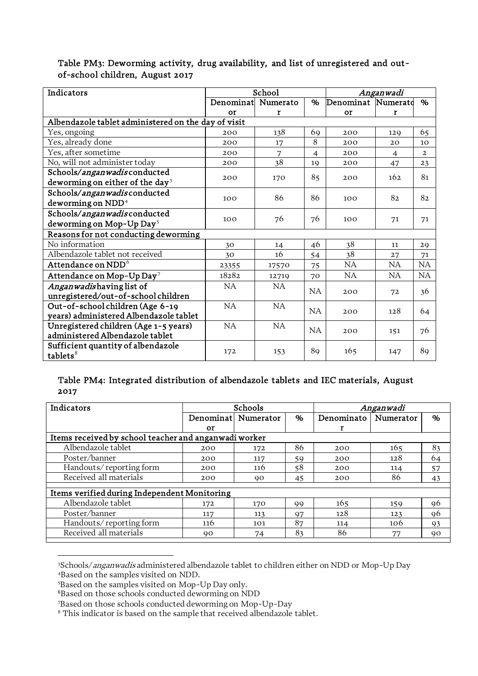| Indicators                                          |                    | School    |                | Anganwadi          |                |                |  |
|-----------------------------------------------------|--------------------|-----------|----------------|--------------------|----------------|----------------|--|
|                                                     | Denominat Numerato |           | %              | Denominat Numerato |                | $\%$           |  |
|                                                     | or                 | r         |                | or                 | r              |                |  |
| Albendazole tablet administered on the day of visit |                    |           |                |                    |                |                |  |
| Yes, ongoing                                        | 200                | 138       | 69             | 200                | 129            | 65             |  |
| Yes, already done                                   | 200                | 17        | 8              | 200                | 20             | 10             |  |
| Yes, after sometime                                 | 200                | 7         | $\overline{4}$ | 200                | $\overline{4}$ | $\overline{2}$ |  |
| No, will not administer today                       | 200                | 38        | 19             | 200                | 47             | 23             |  |
| Schools/anganwadisconducted                         | 200                | 170       | 85             | 200                | 162            | 81             |  |
| deworming on either of the day <sup>3</sup>         |                    |           |                |                    |                |                |  |
| Schools/anganwadisconducted                         | 100                | 86        | 86             |                    | 82             | 82             |  |
| deworming on NDD <sup>4</sup>                       |                    |           |                | 100                |                |                |  |
| Schools/anganwadisconducted                         |                    |           |                |                    |                |                |  |
| deworming on Mop-Up Day <sup>5</sup>                | 100                | 76        | 76             | 100                | 71             | 71             |  |
| Reasons for not conducting deworming                |                    |           |                |                    |                |                |  |
| No information                                      | 30                 | 14        | 46             | 38                 | 11             | 29             |  |
| Albendazole tablet not received                     | 30                 | 16        | 54             | 38                 | 27             | 71             |  |
| Attendance on $\mathrm{NDD}^6$                      | 23355              | 17570     | 75             | NA                 | NA             | <b>NA</b>      |  |
| Attendance on Mop-Up Day <sup>7</sup>               | 18282              | 12719     | 70             | NA                 | NA             | <b>NA</b>      |  |
| Anganwadishaving list of                            | <b>NA</b>          | <b>NA</b> |                |                    |                |                |  |
| unregistered/out-of-school children                 |                    |           | NA             | 200                | 72             | 36             |  |
| Out-of-school children (Age 6-19                    | NA                 | NA        | <b>NA</b>      |                    | 128            |                |  |
| years) administered Albendazole tablet              |                    |           |                | 200                |                | 64             |  |
| Unregistered children (Age 1-5 years)               | NA                 | NA        | <b>NA</b>      | 200                |                | 76             |  |
| administered Albendazole tablet                     |                    |           |                |                    | 151            |                |  |
| Sufficient quantity of albendazole                  |                    |           |                |                    |                |                |  |
| tablets $8$                                         | 172                | 153       | 89             | 165                | 147            | 89             |  |

## Table PM3: Deworming activity, drug availability, and list of unregistered and outof-school children, August 2017

## Table PM4: Integrated distribution of albendazole tablets and IEC materials, August 2017

| Indicators                                            | <b>Schools</b> |                     |    |            | Anganwadi |    |
|-------------------------------------------------------|----------------|---------------------|----|------------|-----------|----|
|                                                       |                | Denominat Numerator | %  | Denominato | Numerator | %  |
|                                                       | or             |                     |    |            |           |    |
| Items received by school teacher and anganwadi worker |                |                     |    |            |           |    |
| Albendazole tablet                                    | 200            | 172                 | 86 | 200        | 165       | 83 |
| Poster/banner                                         | 200            | 117                 | 59 | 200        | 128       | 64 |
| Handouts/reporting form                               | 200            | 116                 | 58 | 200        | 114       | 57 |
| Received all materials                                | 200            | 90                  | 45 | 200        | 86        | 43 |
| Items verified during Independent Monitoring          |                |                     |    |            |           |    |
| Albendazole tablet                                    | 172            | 170                 | 99 | 165        | 159       | 96 |
| Poster/banner                                         | 117            | 113                 | 97 | 128        | 123       | 96 |
| Handouts/reporting form                               | 116            | 101                 | 87 | 114        | 106       | 93 |
| Received all materials                                | 90             | 74                  | 83 | 86         | 77        | 90 |

<span id="page-2-1"></span><span id="page-2-0"></span><sup>&</sup>lt;sup>3</sup>Schools/*anganwadis* administered albendazole tablet to children either on NDD or Mop-Up Day 4Based on the samples visited on NDD.

<sup>5</sup> Based on the samples visited on Mop-Up Day only.

<span id="page-2-4"></span><span id="page-2-3"></span><span id="page-2-2"></span><sup>&</sup>lt;sup>6</sup>Based on those schools conducted deworming on NDD

<sup>7</sup> Based on those schools conducted deworming on Mop-Up-Day

<span id="page-2-5"></span><sup>&</sup>lt;sup>8</sup> This indicator is based on the sample that received albendazole tablet.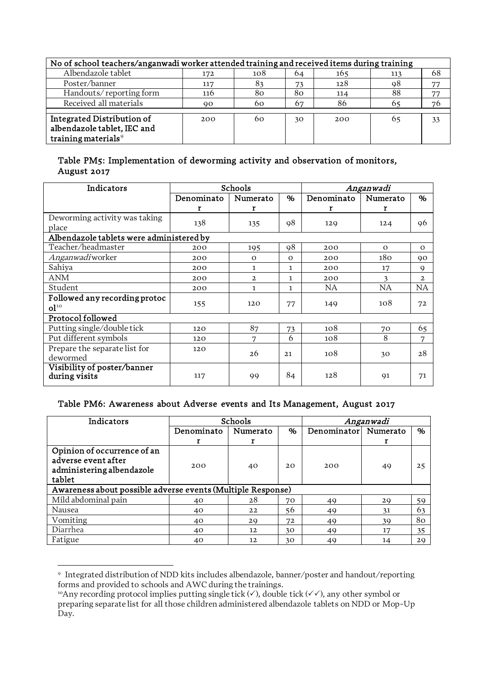| No of school teachers/anganwadi worker attended training and received items during training |     |     |    |     |     |    |  |  |
|---------------------------------------------------------------------------------------------|-----|-----|----|-----|-----|----|--|--|
| Albendazole tablet                                                                          | 172 | 108 | 64 | 165 | 113 | 68 |  |  |
| Poster/banner                                                                               | 117 | 83  | 73 | 128 | 98  | 77 |  |  |
| Handouts/reporting form                                                                     | 116 | 80  | 80 | 114 | 88  | 77 |  |  |
| Received all materials                                                                      | 90  | 60  | 67 | 86  | 65  | 76 |  |  |
|                                                                                             |     |     |    |     |     |    |  |  |
| Integrated Distribution of                                                                  | 200 | 60  | 30 | 200 | 65  | 33 |  |  |
| albendazole tablet, IEC and                                                                 |     |     |    |     |     |    |  |  |
| training materials <sup>9</sup>                                                             |     |     |    |     |     |    |  |  |

#### Table PM5: Implementation of deworming activity and observation of monitors, August 2017

| Indicators                                       | Schools    |              |          | Anganwadi  |          |              |  |
|--------------------------------------------------|------------|--------------|----------|------------|----------|--------------|--|
|                                                  | Denominato | Numerato     | %        | Denominato | Numerato | $\%$         |  |
|                                                  | r          | r            |          | r          | r        |              |  |
| Deworming activity was taking<br>place           | 138        | 135          | 98       | 129        | 124      | 96           |  |
| Albendazole tablets were administered by         |            |              |          |            |          |              |  |
| Teacher/headmaster                               | 200        | 195          | 98       | 200        | $\Omega$ | $\mathbf{o}$ |  |
| Anganwadiworker                                  | 200        | $\Omega$     | $\Omega$ | 200        | 180      | 90           |  |
| Sahiya                                           | 200        | 1            | 1        | 200        | 17       | 9            |  |
| ANM                                              | 200        | $\mathbf{2}$ | 1.       | 200        | 3        | $\mathbf{2}$ |  |
| Student                                          | 200        | 1            | 1        | <b>NA</b>  | NA       | NA           |  |
| Followed any recording protoc<br>0 <sup>10</sup> | 155        | 120          | 77       | 149        | 108      | 72           |  |
| Protocol followed                                |            |              |          |            |          |              |  |
| Putting single/double tick                       | 120        | 87           | 73       | 108        | 70       | 65           |  |
| Put different symbols                            | 120        | 7            | 6        | 108        | 8        | 7            |  |
| Prepare the separate list for<br>dewormed        | 120        | 26           | 21       | 108        | 30       | 28           |  |
| Visibility of poster/banner<br>during visits     | 117        | 99           | 84       | 128        | 91       | 71           |  |

#### Table PM6: Awareness about Adverse events and Its Management, August 2017

| Indicators                                                  |            | Schools  | Anganwadi |             |          |    |
|-------------------------------------------------------------|------------|----------|-----------|-------------|----------|----|
|                                                             | Denominato | Numerato | %         | Denominator | Numerato | %  |
|                                                             |            |          |           |             |          |    |
| Opinion of occurrence of an                                 |            |          |           |             |          |    |
| adverse event after                                         | 200        |          | 20        | 200         |          |    |
| administering albendazole                                   |            | 40       |           |             | 49       | 25 |
| tablet                                                      |            |          |           |             |          |    |
| Awareness about possible adverse events (Multiple Response) |            |          |           |             |          |    |
| Mild abdominal pain                                         | 40         | 28       | 70        | 49          | 29       | 59 |
| Nausea                                                      | 40         | 22       | 56        | 49          | 31       | 63 |
| Vomiting                                                    | 40         | 29       | 72        | 49          | 39       | 80 |
| Diarrhea                                                    | 40         | 12       | 30        | 49          | 17       | 35 |
| Fatigue                                                     | 40         | 12       | 30        | 49          | 14       | 29 |

<span id="page-3-1"></span><span id="page-3-0"></span><sup>9</sup> Integrated distribution of NDD kits includes albendazole, banner/poster and handout/reporting forms and provided to schools and AWC during the trainings.

<span id="page-3-2"></span><sup>&</sup>lt;sup>10</sup>Any recording protocol implies putting single tick ( $\checkmark$ ), double tick ( $\checkmark\checkmark$ ), any other symbol or preparing separate list for all those children administered albendazole tablets on NDD or Mop-Up Day.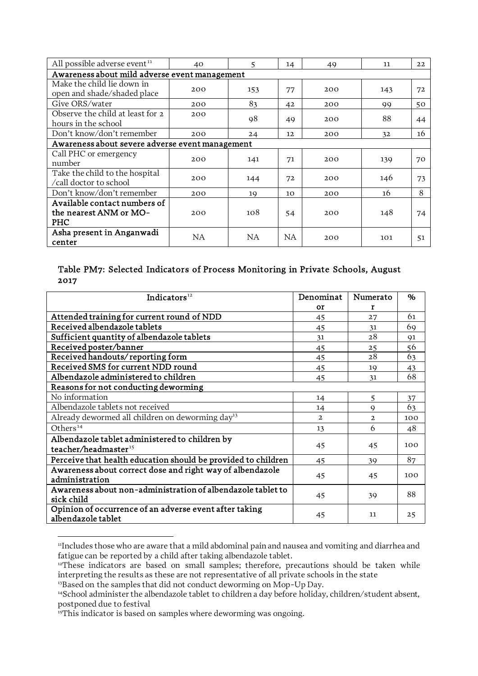| All possible adverse event <sup>11</sup>                      | 40  | 5   | 14 | 49  | 11  | 22 |
|---------------------------------------------------------------|-----|-----|----|-----|-----|----|
| Awareness about mild adverse event management                 |     |     |    |     |     |    |
| Make the child lie down in<br>open and shade/shaded place     | 200 | 153 | 77 | 200 | 143 | 72 |
| Give ORS/water                                                | 200 | 83  | 42 | 200 | 99  | 50 |
| Observe the child at least for 2<br>hours in the school       | 200 | 98  | 49 | 200 | 88  | 44 |
| Don't know/don't remember                                     | 200 | 24  | 12 | 200 | 32  | 16 |
| Awareness about severe adverse event management               |     |     |    |     |     |    |
| Call PHC or emergency<br>number                               | 200 | 141 | 71 | 200 | 139 | 70 |
| Take the child to the hospital<br>/call doctor to school      | 200 | 144 | 72 | 200 | 146 | 73 |
| Don't know/don't remember                                     | 200 | 19  | 10 | 200 | 16  | 8  |
| Available contact numbers of<br>the nearest ANM or MO-<br>PHC | 200 | 108 | 54 | 200 | 148 | 74 |
| Asha present in Anganwadi<br>center                           | NA  | NA  | NA | 200 | 101 | 51 |

## Table PM7: Selected Indicators of Process Monitoring in Private Schools, August 2017

| Indicators $12$                                                              | Denominat    | Numerato      | %   |
|------------------------------------------------------------------------------|--------------|---------------|-----|
|                                                                              | <b>Or</b>    | r             |     |
| Attended training for current round of NDD                                   | 45           | 27            | 61  |
| Received albendazole tablets                                                 | 45           | 31            | 69  |
| Sufficient quantity of albendazole tablets                                   | 31           | 28            | 91  |
| Received poster/banner                                                       | 45           | 25            | 56  |
| Received handouts/reporting form                                             | 45           | 28            | 63  |
| Received SMS for current NDD round                                           | 45           | 19            | 43  |
| Albendazole administered to children                                         | 45           | 31            | 68  |
| Reasons for not conducting deworming                                         |              |               |     |
| No information                                                               | 14           | 5             | 37  |
| Albendazole tablets not received                                             | 14           | $\mathbf Q$   | 63  |
| Already dewormed all children on deworming day <sup>13</sup>                 | $\mathbf{2}$ | $\mathcal{D}$ | 100 |
| Others <sup>14</sup>                                                         | 13           | 6             | 48  |
| Albendazole tablet administered to children by                               | 45           | 45            | 100 |
| teacher/headmaster <sup>15</sup>                                             |              |               |     |
| Perceive that health education should be provided to children                | 45           | 39            | 87  |
| Awareness about correct dose and right way of albendazole<br>administration  | 45           | 45            | 100 |
| Awareness about non-administration of albendazole tablet to<br>sick child    | 45           | 39            | 88  |
| Opinion of occurrence of an adverse event after taking<br>albendazole tablet | 45           | 11            | 25  |

<sup>11</sup>Includes those who are aware that a mild abdominal pain and nausea and vomiting and diarrhea and fatigue can be reported by a child after taking albendazole tablet.

<span id="page-4-0"></span><sup>&</sup>lt;sup>12</sup>These indicators are based on small samples; therefore, precautions should be taken while interpreting the results as these are not representative of all private schools in the state

<span id="page-4-1"></span><sup>&</sup>lt;sup>13</sup>Based on the samples that did not conduct deworming on Mop-Up Day.

<span id="page-4-2"></span><sup>&</sup>lt;sup>14</sup>School administer the albendazole tablet to children a day before holiday, children/student absent, postponed due to festival

<span id="page-4-3"></span><sup>&</sup>lt;sup>15</sup>This indicator is based on samples where deworming was ongoing.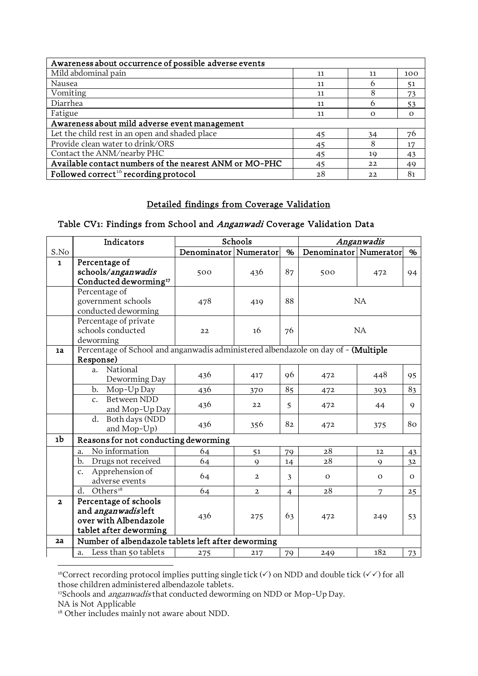| Awareness about occurrence of possible adverse events  |    |              |          |  |  |  |
|--------------------------------------------------------|----|--------------|----------|--|--|--|
| Mild abdominal pain                                    | 11 | 11           | 100      |  |  |  |
| Nausea                                                 | 11 | <sub>(</sub> | 51       |  |  |  |
| Vomiting                                               | 11 | 8            | 73       |  |  |  |
| Diarrhea                                               | 11 | h            | 53       |  |  |  |
| Fatigue                                                | 11 | $\Omega$     | $\Omega$ |  |  |  |
| Awareness about mild adverse event management          |    |              |          |  |  |  |
| Let the child rest in an open and shaded place         | 45 | 34           | 76       |  |  |  |
| Provide clean water to drink/ORS                       | 45 | 8            | 17       |  |  |  |
| Contact the ANM/nearby PHC                             | 45 | 19           | 43       |  |  |  |
| Available contact numbers of the nearest ANM or MO-PHC | 45 | 22           | 49       |  |  |  |
| Followed correct <sup>16</sup> recording protocol      | 28 | 22           | 81       |  |  |  |

#### Detailed findings from Coverage Validation

## Table CV1: Findings from School and Anganwadi Coverage Validation Data

|                         | Indicators                                                                         |                       | Schools        |                | Anganwadis            |             |              |
|-------------------------|------------------------------------------------------------------------------------|-----------------------|----------------|----------------|-----------------------|-------------|--------------|
| S.No                    |                                                                                    | Denominator Numerator |                | %              | Denominator Numerator |             | %            |
| $\mathbf{1}$            | Percentage of                                                                      |                       |                |                |                       |             |              |
|                         | schools/anganwadis                                                                 | 500                   | 436            | 87             | 500                   | 472         | 94           |
|                         | Conducted deworming <sup>17</sup>                                                  |                       |                |                |                       |             |              |
|                         | Percentage of                                                                      |                       |                |                | <b>NA</b>             |             |              |
|                         | government schools                                                                 | 478                   | 419            | 88             |                       |             |              |
|                         | conducted deworming                                                                |                       |                |                |                       |             |              |
|                         | Percentage of private                                                              |                       |                |                |                       |             |              |
|                         | schools conducted                                                                  | 22                    | 16             | 76             |                       | NA          |              |
|                         | deworming                                                                          |                       |                |                |                       |             |              |
| 1a                      | Percentage of School and anganwadis administered albendazole on day of - (Multiple |                       |                |                |                       |             |              |
|                         | Response)<br>National<br>a.                                                        |                       |                |                |                       |             |              |
|                         | Deworming Day                                                                      | 436                   | 417            | 96             | 472                   | 448         | 95           |
|                         | Mop-Up Day<br>b.                                                                   | 436                   | 370            | 85             | 472                   | 393         | 83           |
|                         | <b>Between NDD</b><br>$\mathbf{C}$ .                                               |                       |                |                |                       |             |              |
|                         | and Mop-Up Day                                                                     | 436                   | 22             | 5              | 472                   | 44          | $\mathsf{Q}$ |
|                         | Both days (NDD<br>d.                                                               | 436                   | 356            | 82             | 472                   | 375         | 80           |
|                         | and Mop-Up)                                                                        |                       |                |                |                       |             |              |
| 1b                      | Reasons for not conducting deworming                                               |                       |                |                |                       |             |              |
|                         | No information<br>a.                                                               | 64                    | 51             | 79             | 28                    | 12          | 43           |
|                         | $b$<br>Drugs not received                                                          | 64                    | $\mathbf Q$    | 14             | 28                    | $\mathbf Q$ | 32           |
|                         | Apprehension of<br>$\mathcal{C}$ .                                                 | 64                    | $\overline{2}$ | 3              | $\mathbf O$           | $\Omega$    | $\mathbf{O}$ |
|                         | adverse events                                                                     |                       |                |                |                       |             |              |
|                         | Others <sup>18</sup><br>d.                                                         | 64                    | $\mathbf{2}$   | $\overline{4}$ | 28                    | 7           | 25           |
| $\overline{\mathbf{2}}$ | Percentage of schools                                                              |                       |                |                |                       |             |              |
|                         | and anganwadisleft                                                                 | 436                   | 275            | 63             | 472                   | 249         | 53           |
|                         | over with Albendazole                                                              |                       |                |                |                       |             |              |
|                         | tablet after deworming                                                             |                       |                |                |                       |             |              |
| 2a                      | Number of albendazole tablets left after deworming                                 |                       |                |                |                       |             |              |
|                         | Less than 50 tablets<br>a.                                                         | 275                   | 217            | 79             | 249                   | 182         | 73           |
|                         |                                                                                    |                       |                |                |                       |             |              |

<span id="page-5-0"></span><sup>&</sup>lt;sup>16</sup>Correct recording protocol implies putting single tick  $(\checkmark)$  on NDD and double tick  $(\checkmark\checkmark)$  for all those children administered albendazole tablets.

<span id="page-5-1"></span><sup>&</sup>lt;sup>17</sup>Schools and *anganwadis* that conducted deworming on NDD or Mop-Up Day.

<span id="page-5-2"></span>NA is Not Applicable

<sup>&</sup>lt;sup>18</sup> Other includes mainly not aware about NDD.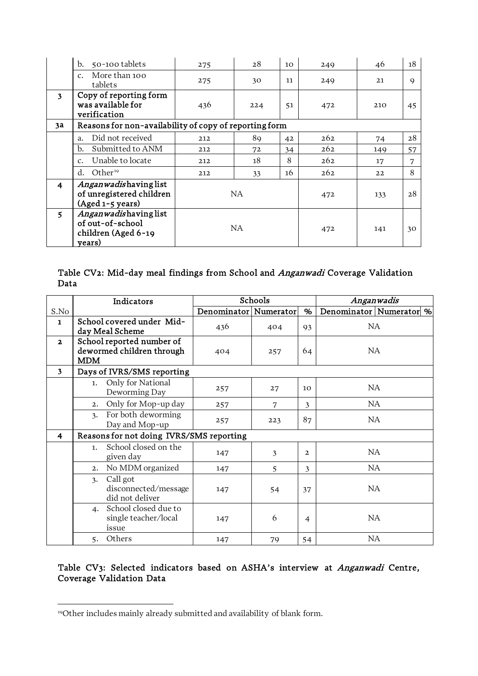|                         | 50-100 tablets<br>b.                                                       | 275 | 28  | 10 | 249 | 46  | 18          |
|-------------------------|----------------------------------------------------------------------------|-----|-----|----|-----|-----|-------------|
|                         | More than 100<br>$C_{\star}$<br>tablets                                    | 275 | 30  | 11 | 249 | 21  | $\mathsf Q$ |
| $\mathbf{3}$            | Copy of reporting form<br>was available for<br>verification                | 436 | 224 | 51 | 472 | 210 | 45          |
| 3a                      | Reasons for non-availability of copy of reporting form                     |     |     |    |     |     |             |
|                         | Did not received<br>a.                                                     | 212 | 89  | 42 | 262 | 74  | 28          |
|                         | Submitted to ANM<br>b.                                                     | 212 | 72  | 34 | 262 | 149 | 57          |
|                         | Unable to locate<br>$\mathcal{C}$ .                                        | 212 | 18  | 8  | 262 | 17  | 7           |
|                         | Other <sup>19</sup><br>d.                                                  | 212 | 33  | 16 | 262 | 22  | 8           |
| $\overline{\mathbf{4}}$ | Anganwadishaving list<br>of unregistered children<br>(Aged 1-5 years)      | NA  |     |    | 472 | 133 | 28          |
| $\overline{\mathbf{5}}$ | Anganwadishaving list<br>of out-of-school<br>children (Aged 6-19<br>years) | NA  |     |    | 472 | 141 | 30          |

## Table CV2: Mid-day meal findings from School and Anganwadi Coverage Validation Data

|                         | Indicators                                                           | Schools                 |     | Anganwadis     |                             |
|-------------------------|----------------------------------------------------------------------|-------------------------|-----|----------------|-----------------------------|
| S.No                    |                                                                      | Denominator   Numerator |     | %              | Denominator   Numerator   % |
| $\mathbf{1}$            | School covered under Mid-<br>day Meal Scheme                         | 436                     | 404 | 93             | NA                          |
| $\overline{2}$          | School reported number of<br>dewormed children through<br><b>MDM</b> | 404                     | 257 | 64             | NA.                         |
| $\overline{\mathbf{3}}$ | Days of IVRS/SMS reporting                                           |                         |     |                |                             |
|                         | Only for National<br>1.<br>Deworming Day                             | 257                     | 27  | 10             | NA                          |
|                         | Only for Mop-up day<br>2.                                            | 257                     | 7   | 3              | NA                          |
|                         | For both deworming<br>$\mathcal{Z}_{\bullet}$<br>Day and Mop-up      | 257                     | 223 | 87             | NA.                         |
| 4                       | Reasons for not doing IVRS/SMS reporting                             |                         |     |                |                             |
|                         | School closed on the<br>1.<br>given day                              | 147                     | 3   | $\overline{2}$ | NA                          |
|                         | No MDM organized<br>2.                                               | 147                     | 5   | 3              | NA                          |
|                         | Call got<br>3.<br>disconnected/message<br>did not deliver            | 147                     | 54  | 37             | NA                          |
|                         | School closed due to<br>4.<br>single teacher/local<br>issue          | 147                     | 6   | $\overline{4}$ | NA                          |
|                         | Others<br>5.                                                         | 147                     | 79  | 54             | NA                          |

## Table CV3: Selected indicators based on ASHA's interview at Anganwadi Centre, Coverage Validation Data

<span id="page-6-0"></span><sup>19</sup>Other includes mainly already submitted and availability of blank form.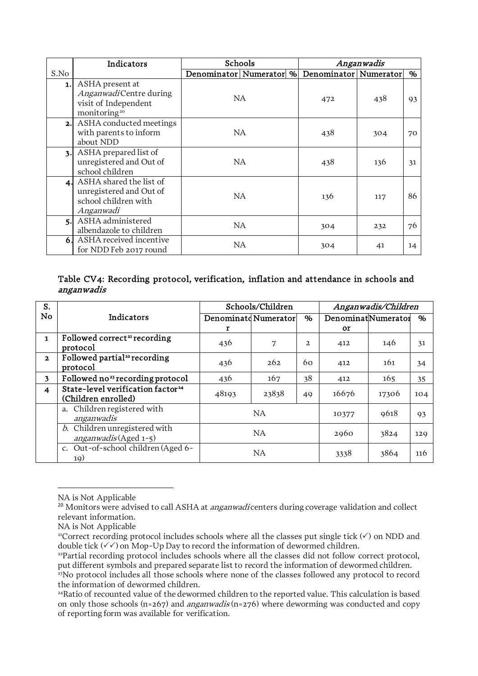|                | Indicators                                                                                    | Schools                                       | Anganwadis |     |      |
|----------------|-----------------------------------------------------------------------------------------------|-----------------------------------------------|------------|-----|------|
| S.No           |                                                                                               | Denominator Numerator % Denominator Numerator |            |     | $\%$ |
| 1.1            | ASHA present at<br>AnganwadiCentre during<br>visit of Independent<br>monitoring <sup>20</sup> | NA                                            | 472        | 438 | 93   |
| 2.             | ASHA conducted meetings<br>with parents to inform<br>about NDD                                | NA                                            | 438        | 304 | 70   |
| 3.             | ASHA prepared list of<br>unregistered and Out of<br>school children                           | NA                                            | 438        | 136 | 31   |
|                | 4. ASHA shared the list of<br>unregistered and Out of<br>school children with<br>Anganwadi    | NA.                                           | 136        | 117 | 86   |
| $\mathbf{5}$ . | ASHA administered<br>albendazole to children                                                  | NA.                                           | 304        | 232 | 76   |
| 6.             | ASHA received incentive<br>for NDD Feb 2017 round                                             | NA                                            | 304        | 41  | 14   |

#### Table CV4: Recording protocol, verification, inflation and attendance in schools and anganwadis

| S.             |                                                                      | Schools/Children |                                                 |                | Anganwadis/Children |       |     |  |
|----------------|----------------------------------------------------------------------|------------------|-------------------------------------------------|----------------|---------------------|-------|-----|--|
| No             | Indicators                                                           |                  | DenominatNumerator<br>Denominatd Numerator<br>% |                |                     | %     |     |  |
|                |                                                                      | r                |                                                 |                | <b>or</b>           |       |     |  |
| $\mathbf{1}$   | Followed correct <sup>21</sup> recording<br>protocol                 | 436              | 7                                               | $\overline{2}$ | 412                 | 146   | 31  |  |
| $\mathbf{z}$   | Followed partial <sup>22</sup> recording<br>protocol                 | 436              | 262                                             | 60             | 412                 | 161   | 34  |  |
| 3              | Followed no <sup>23</sup> recording protocol                         | 436              | 167                                             | 38             | 412                 | 165   | 35  |  |
| $\overline{4}$ | State-level verification factor <sup>24</sup><br>(Children enrolled) | 48193            | 23838                                           | 49             | 16676               | 17306 | 104 |  |
|                | a. Children registered with<br>anganwadis                            | <b>NA</b>        |                                                 | 10377          | 9618                | 93    |     |  |
|                | b. Children unregistered with<br>anganwadis (Aged 1-5)               | NA               |                                                 | 2960           | 3824                | 129   |     |  |
|                | c. Out-of-school children (Aged 6-<br>19)                            | NA               |                                                 |                | 3338                | 3864  | 116 |  |

NA is Not Applicable

<span id="page-7-0"></span><sup>&</sup>lt;sup>20</sup> Monitors were advised to call ASHA at *anganwadi* centers during coverage validation and collect relevant information.

<span id="page-7-1"></span>NA is Not Applicable

<sup>&</sup>lt;sup>21</sup>Correct recording protocol includes schools where all the classes put single tick  $(\checkmark)$  on NDD and double tick  $(\checkmark)$  on Mop-Up Day to record the information of dewormed children.

<span id="page-7-2"></span><sup>&</sup>lt;sup>22</sup>Partial recording protocol includes schools where all the classes did not follow correct protocol, put different symbols and prepared separate list to record the information of dewormed children.

<span id="page-7-3"></span><sup>&</sup>lt;sup>23</sup>No protocol includes all those schools where none of the classes followed any protocol to record the information of dewormed children.

<span id="page-7-4"></span><sup>&</sup>lt;sup>24</sup>Ratio of recounted value of the dewormed children to the reported value. This calculation is based on only those schools (n=267) and *anganwadis* (n=276) where deworming was conducted and copy of reporting form was available for verification.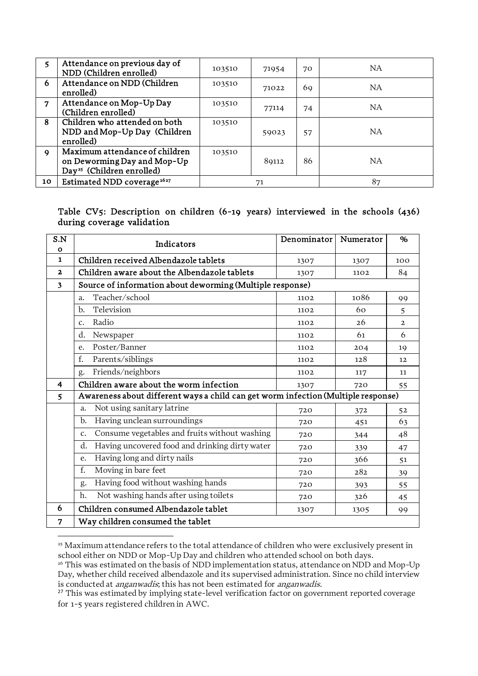| 5           | Attendance on previous day of<br>NDD (Children enrolled)                                               | 103510 | 71954 | 70 | NA.       |
|-------------|--------------------------------------------------------------------------------------------------------|--------|-------|----|-----------|
| 6           | Attendance on NDD (Children<br>enrolled)                                                               | 103510 | 71022 | 69 | <b>NA</b> |
| 7           | Attendance on Mop-Up Day<br>(Children enrolled)                                                        | 103510 | 77114 | 74 | <b>NA</b> |
| 8           | Children who attended on both<br>NDD and Mop-Up Day (Children<br>enrolled)                             | 103510 | 59023 | 57 | <b>NA</b> |
| $\mathbf Q$ | Maximum attendance of children<br>on Deworming Day and Mop-Up<br>Day <sup>25</sup> (Children enrolled) | 103510 | 89112 | 86 | <b>NA</b> |
| 10          | Estimated NDD coverage <sup>2627</sup>                                                                 |        | 71    |    | 87        |

#### Table CV5: Description on children (6-19 years) interviewed in the schools (436) during coverage validation

| S.N          | Indicators                                                                        | Denominator | Numerator | %              |  |  |  |  |
|--------------|-----------------------------------------------------------------------------------|-------------|-----------|----------------|--|--|--|--|
| $\mathbf{o}$ |                                                                                   |             |           |                |  |  |  |  |
| $\mathbf{1}$ | Children received Albendazole tablets                                             | 1307        | 1307      | 100            |  |  |  |  |
| $\mathbf{2}$ | Children aware about the Albendazole tablets                                      | 1307        | 1102      | 84             |  |  |  |  |
| 3            | Source of information about deworming (Multiple response)                         |             |           |                |  |  |  |  |
|              | Teacher/school<br>a.                                                              | 1102        | 1086      | 99             |  |  |  |  |
|              | Television<br>b.                                                                  | 1102        | 60        | 5              |  |  |  |  |
|              | Radio<br>$\mathcal{C}$ .                                                          | 1102        | 26        | $\overline{2}$ |  |  |  |  |
|              | d.<br>Newspaper                                                                   | 1102        | 61        | 6              |  |  |  |  |
|              | Poster/Banner<br>e.                                                               | 1102        | 204       | 19             |  |  |  |  |
|              | f.<br>Parents/siblings                                                            | 1102        | 128       | 12             |  |  |  |  |
|              | Friends/neighbors<br>g.                                                           | 1102        | 117       | 11             |  |  |  |  |
| 4            | Children aware about the worm infection                                           | 1307        | 720       | 55             |  |  |  |  |
| 5            | Awareness about different ways a child can get worm infection (Multiple response) |             |           |                |  |  |  |  |
|              | Not using sanitary latrine<br>a.                                                  | 720         | 372       | 52             |  |  |  |  |
|              | Having unclean surroundings<br>b.                                                 | 720         | 451       | 63             |  |  |  |  |
|              | Consume vegetables and fruits without washing<br>$\mathcal{C}$ .                  | 720         | 344       | 48             |  |  |  |  |
|              | Having uncovered food and drinking dirty water<br>d.                              | 720         | 339       | 47             |  |  |  |  |
|              | Having long and dirty nails<br>e.                                                 | 720         | 366       | 51             |  |  |  |  |
|              | Moving in bare feet<br>f.                                                         | 720         | 282       | 39             |  |  |  |  |
|              | Having food without washing hands<br>g.                                           | 720         | 393       | 55             |  |  |  |  |
|              | Not washing hands after using toilets<br>h.                                       | 720         | 326       | 45             |  |  |  |  |
| 6            | Children consumed Albendazole tablet                                              | 1307        | 1305      | 99             |  |  |  |  |
| 7            | Way children consumed the tablet                                                  |             |           |                |  |  |  |  |

<span id="page-8-0"></span><sup>&</sup>lt;sup>25</sup> Maximum attendance refers to the total attendance of children who were exclusively present in school either on NDD or Mop-Up Day and children who attended school on both days.<br><sup>26</sup> This was estimated on the basis of NDD implementation status, attendance on NDD and Mop-Up

<span id="page-8-1"></span>Day, whether child received albendazole and its supervised administration. Since no child interview is conducted at *anganwadis*; this has not been estimated for *anganwadis*.

<span id="page-8-2"></span><sup>&</sup>lt;sup>27</sup> This was estimated by implying state-level verification factor on government reported coverage for 1-5 years registered children in AWC.